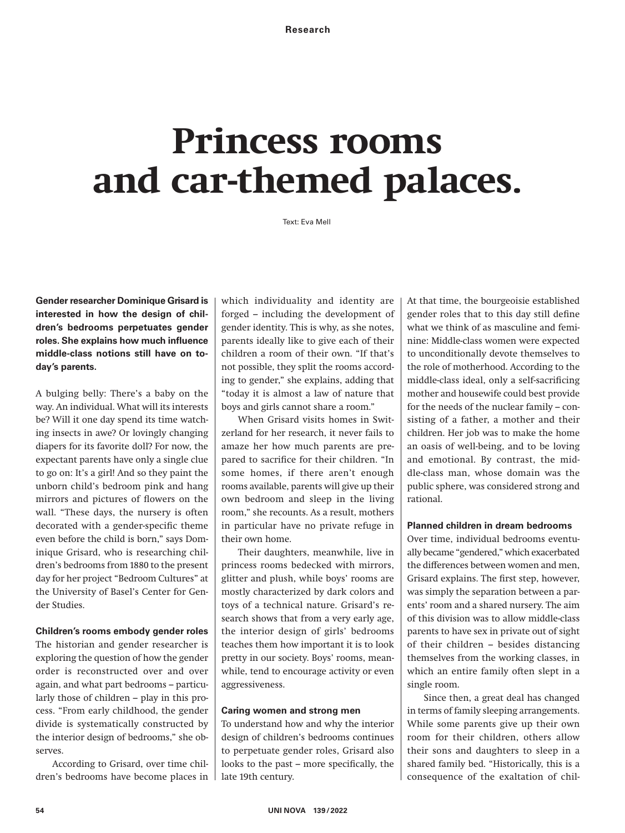# **Princess rooms and car-themed palaces.**

Text: Eva Mell

**Gender researcher Dominique Grisard is interested in how the design of children's bedrooms perpetuates gender**  roles. She explains how much influence **middle-class notions still have on today's parents.**

A bulging belly: There's a baby on the way. An individual. What will its interests be? Will it one day spend its time watching insects in awe? Or lovingly changing diapers for its favorite doll? For now, the expectant parents have only a single clue to go on: It's a girl! And so they paint the unborn child's bedroom pink and hang mirrors and pictures of flowers on the wall. "These days, the nursery is often decorated with a gender-specific theme even before the child is born," says Dominique Grisard, who is researching children's bedrooms from 1880 to the present day for her project "Bedroom Cultures" at the University of Basel's Center for Gender Studies.

## **Children's rooms embody gender roles**

The historian and gender researcher is exploring the question of how the gender order is reconstructed over and over again, and what part bedrooms – particularly those of children – play in this process. "From early childhood, the gender divide is systematically constructed by the interior design of bedrooms," she observes.

According to Grisard, over time children's bedrooms have become places in

which individuality and identity are forged – including the development of gender identity. This is why, as she notes, parents ideally like to give each of their children a room of their own. "If that's not possible, they split the rooms according to gender," she explains, adding that "today it is almost a law of nature that boys and girls cannot share a room."

 When Grisard visits homes in Switzerland for her research, it never fails to amaze her how much parents are prepared to sacrifice for their children. "In some homes, if there aren't enough rooms available, parents will give up their own bedroom and sleep in the living room," she recounts. As a result, mothers in particular have no private refuge in their own home.

 Their daughters, meanwhile, live in princess rooms bedecked with mirrors, glitter and plush, while boys' rooms are mostly characterized by dark colors and toys of a technical nature. Grisard's research shows that from a very early age, the interior design of girls' bedrooms teaches them how important it is to look pretty in our society. Boys' rooms, meanwhile, tend to encourage activity or even aggressiveness.

# **Caring women and strong men**

To understand how and why the interior design of children's bedrooms continues to perpetuate gender roles, Grisard also looks to the past – more specifically, the late 19th century.

At that time, the bourgeoisie established gender roles that to this day still define what we think of as masculine and feminine: Middle-class women were expected to unconditionally devote themselves to the role of motherhood. According to the middle-class ideal, only a self-sacrificing mother and housewife could best provide for the needs of the nuclear family – consisting of a father, a mother and their children. Her job was to make the home an oasis of well-being, and to be loving and emotional. By contrast, the middle-class man, whose domain was the public sphere, was considered strong and rational.

## **Planned children in dream bedrooms**

Over time, individual bedrooms eventually became "gendered," which exacerbated the differences between women and men, Grisard explains. The first step, however, was simply the separation between a parents' room and a shared nursery. The aim of this division was to allow middle-class parents to have sex in private out of sight of their children – besides distancing themselves from the working classes, in which an entire family often slept in a single room.

 Since then, a great deal has changed in terms of family sleeping arrangements. While some parents give up their own room for their children, others allow their sons and daughters to sleep in a shared family bed. "Historically, this is a consequence of the exaltation of chil-